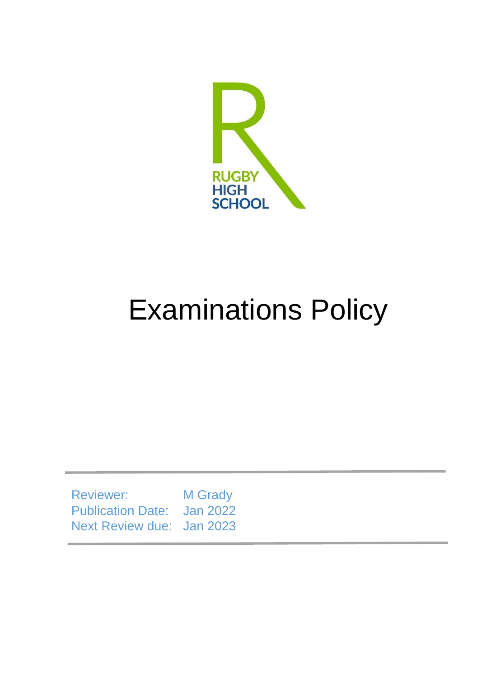

# Examinations Policy

Reviewer: M Grady Publication Date: Jan 2022 Next Review due: Jan 2023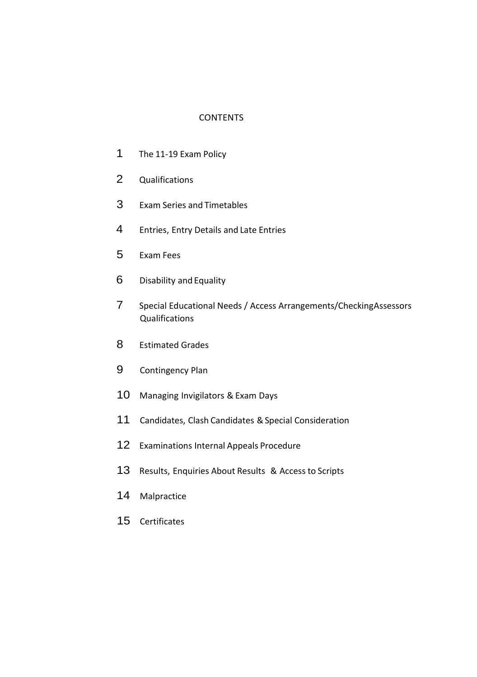#### **CONTENTS**

- The 11-19 Exam Policy
- Qualifications
- Exam Series and Timetables
- Entries, Entry Details and Late Entries
- Exam Fees
- Disability and Equality
- Special Educational Needs / Access Arrangements/CheckingAssessors Qualifications
- Estimated Grades
- Contingency Plan
- Managing Invigilators & Exam Days
- 11 Candidates, Clash Candidates & Special Consideration
- Examinations Internal Appeals Procedure
- Results, Enquiries About Results & Access to Scripts
- Malpractice
- Certificates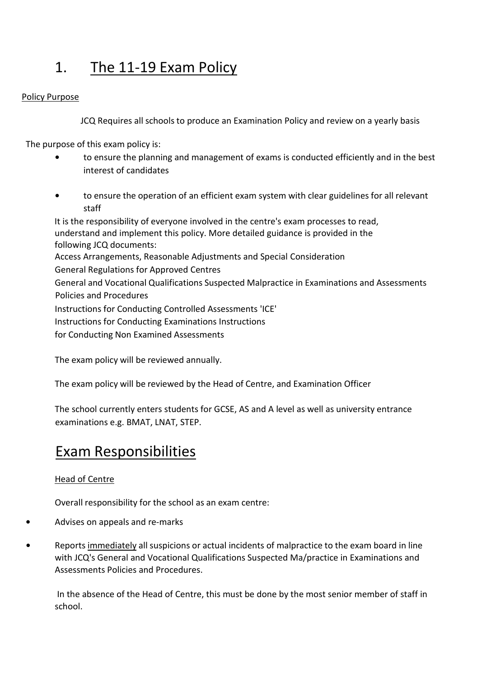### 1. The 11-19 Exam Policy

### Policy Purpose

JCQ Requires all schools to produce an Examination Policy and review on a yearly basis

The purpose of this exam policy is:

- **•** to ensure the planning and management of exams is conducted efficiently and in the best interest of candidates
- **•** to ensure the operation of an efficient exam system with clear guidelines for all relevant staff

It is the responsibility of everyone involved in the centre's exam processes to read, understand and implement this policy. More detailed guidance is provided in the following JCQ documents: Access Arrangements, Reasonable Adjustments and Special Consideration General Regulations for Approved Centres General and Vocational Qualifications Suspected Malpractice in Examinations and Assessments Policies and Procedures Instructions for Conducting Controlled Assessments 'ICE' Instructions for Conducting Examinations Instructions for Conducting Non Examined Assessments

The exam policy will be reviewed annually.

The exam policy will be reviewed by the Head of Centre, and Examination Officer

The school currently enters students for GCSE, AS and A level as well as university entrance examinations e.g. BMAT, LNAT, STEP.

### Exam Responsibilities

### Head of Centre

Overall responsibility for the school as an exam centre:

- **•** Advises on appeals and re-marks
- **•** Reports immediately all suspicions or actual incidents of malpractice to the exam board in line with JCQ's General and Vocational Qualifications Suspected Ma/practice in Examinations and Assessments Policies and Procedures.

In the absence of the Head of Centre, this must be done by the most senior member of staff in school.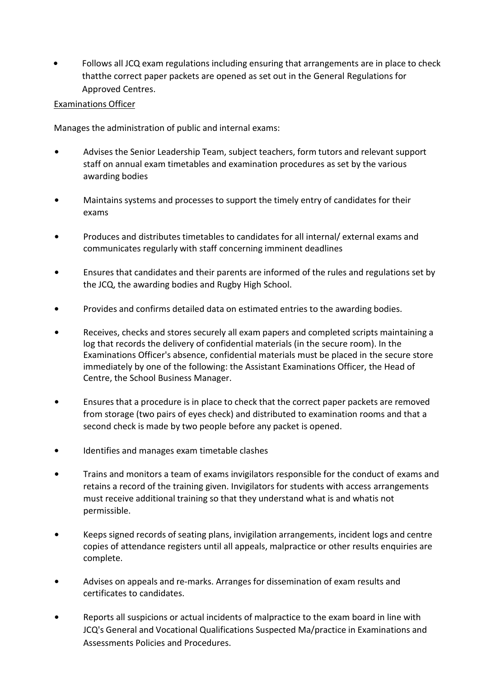**•** Follows all JCQ exam regulations including ensuring that arrangements are in place to check thatthe correct paper packets are opened as set out in the General Regulations for Approved Centres.

### Examinations Officer

Manages the administration of public and internal exams:

- **•** Advises the Senior Leadership Team, subject teachers, form tutors and relevant support staff on annual exam timetables and examination procedures as set by the various awarding bodies
- **•** Maintains systems and processes to support the timely entry of candidates for their exams
- **•** Produces and distributes timetables to candidates for all internal/ external exams and communicates regularly with staff concerning imminent deadlines
- **•** Ensures that candidates and their parents are informed of the rules and regulations set by the JCQ, the awarding bodies and Rugby High School.
- **•** Provides and confirms detailed data on estimated entries to the awarding bodies.
- **•** Receives, checks and stores securely all exam papers and completed scripts maintaining a log that records the delivery of confidential materials (in the secure room). In the Examinations Officer's absence, confidential materials must be placed in the secure store immediately by one of the following: the Assistant Examinations Officer, the Head of Centre, the School Business Manager.
- **•** Ensures that a procedure is in place to check that the correct paper packets are removed from storage (two pairs of eyes check) and distributed to examination rooms and that a second check is made by two people before any packet is opened.
- **•** Identifies and manages exam timetable clashes
- **•** Trains and monitors a team of exams invigilators responsible for the conduct of exams and retains a record of the training given. Invigilators for students with access arrangements must receive additional training so that they understand what is and whatis not permissible.
- **•** Keeps signed records of seating plans, invigilation arrangements, incident logs and centre copies of attendance registers until all appeals, malpractice or other results enquiries are complete.
- **•** Advises on appeals and re-marks. Arranges for dissemination of exam results and certificates to candidates.
- **•** Reports all suspicions or actual incidents of malpractice to the exam board in line with JCQ's General and Vocational Qualifications Suspected Ma/practice in Examinations and Assessments Policies and Procedures.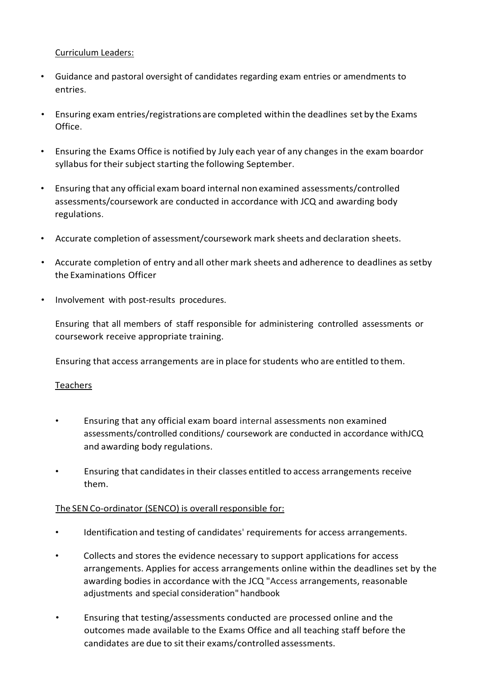Curriculum Leaders:

- Guidance and pastoral oversight of candidates regarding exam entries or amendments to entries.
- Ensuring exam entries/registrations are completed within the deadlines set by the Exams Office.
- Ensuring the Exams Office is notified by July each year of any changes in the exam boardor syllabus for their subject starting the following September.
- Ensuring that any official exam board internal non examined assessments/controlled assessments/coursework are conducted in accordance with JCQ and awarding body regulations.
- Accurate completion of assessment/coursework mark sheets and declaration sheets.
- Accurate completion of entry and all other mark sheets and adherence to deadlines assetby the Examinations Officer
- Involvement with post-results procedures.

Ensuring that all members of staff responsible for administering controlled assessments or coursework receive appropriate training.

Ensuring that access arrangements are in place forstudents who are entitled to them.

### Teachers

- Ensuring that any official exam board internal assessments non examined assessments/controlled conditions/ coursework are conducted in accordance withJCQ and awarding body regulations.
- Ensuring that candidatesin their classes entitled to access arrangements receive them.

### The SEN Co-ordinator (SENCO) is overall responsible for:

- Identification and testing of candidates' requirements for access arrangements.
- Collects and stores the evidence necessary to support applications for access arrangements. Applies for access arrangements online within the deadlines set by the awarding bodies in accordance with the JCQ "Access arrangements, reasonable adjustments and special consideration" handbook
- Ensuring that testing/assessments conducted are processed online and the outcomes made available to the Exams Office and all teaching staff before the candidates are due to sittheir exams/controlled assessments.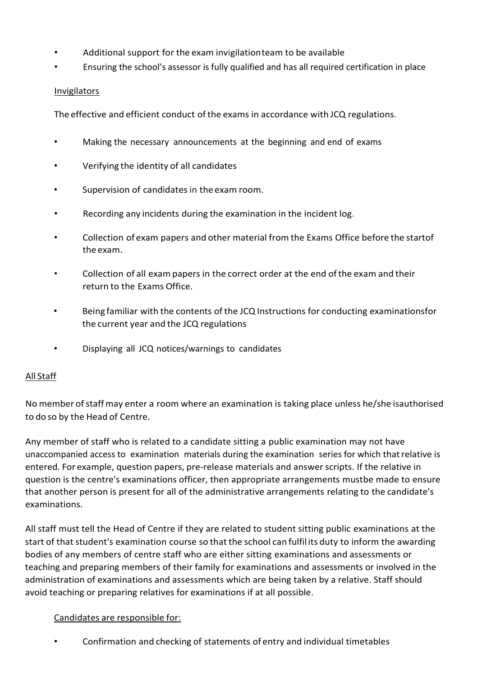- Additional support for the exam invigilationteam to be available
- Ensuring the school's assessor is fully qualified and has all required certification in place

### Invigilators

The effective and efficient conduct ofthe exams in accordance with JCQ regulations.

- Making the necessary announcements at the beginning and end of exams
- Verifying the identity of all candidates
- Supervision of candidates in the exam room.
- Recording any incidents during the examination in the incident log.
- Collection of exam papers and other material from the Exams Office before the startof the exam.
- Collection of all exampapers in the correct order at the end ofthe exam and their return to the Exams Office.
- Being familiar with the contents of the JCQ Instructions for conducting examinationsfor the current year and the JCQ regulations
- Displaying all JCQ notices/warnings to candidates

### All Staff

No member of staff may enter a room where an examination is taking place unless he/she isauthorised to do so by the Head of Centre.

Any member of staff who is related to a candidate sitting a public examination may not have unaccompanied access to examination materials during the examination series for which thatrelative is entered. For example, question papers, pre-release materials and answer scripts. If the relative in question is the centre's examinations officer, then appropriate arrangements mustbe made to ensure that another person is present for all of the administrative arrangements relating to the candidate's examinations.

All staff must tell the Head of Centre if they are related to student sitting public examinations at the start of that student's examination course so that the school can fulfil its duty to inform the awarding bodies of any members of centre staff who are either sitting examinations and assessments or teaching and preparing members of their family for examinations and assessments or involved in the administration of examinations and assessments which are being taken by a relative. Staff should avoid teaching or preparing relatives for examinations if at all possible.

### Candidates are responsible for:

• Confirmation and checking of statements of entry and individual timetables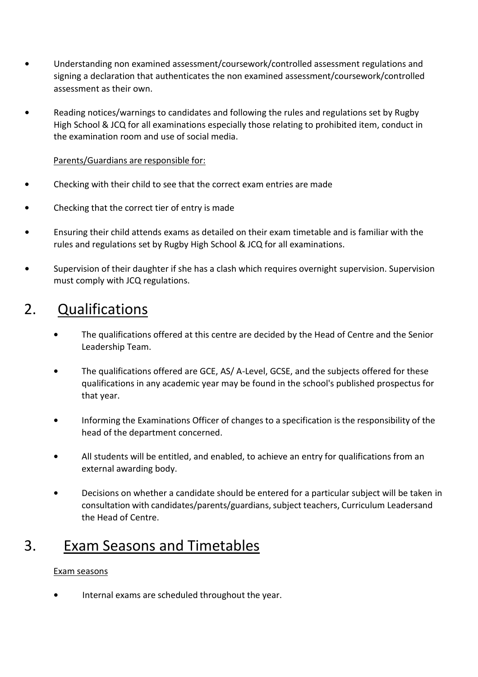- **•** Understanding non examined assessment/coursework/controlled assessment regulations and signing a declaration that authenticates the non examined assessment/coursework/controlled assessment as their own.
- **•** Reading notices/warnings to candidates and following the rules and regulations set by Rugby High School & JCQ for all examinations especially those relating to prohibited item, conduct in the examination room and use of social media.

### Parents/Guardians are responsible for:

- **•** Checking with their child to see that the correct exam entries are made
- **•** Checking that the correct tier of entry is made
- **•** Ensuring their child attends exams as detailed on their exam timetable and is familiar with the rules and regulations set by Rugby High School & JCQ for all examinations.
- **•** Supervision of their daughter if she has a clash which requires overnight supervision. Supervision must comply with JCQ regulations.

### 2. Qualifications

- **•** The qualifications offered at this centre are decided by the Head of Centre and the Senior Leadership Team.
- **•** The qualifications offered are GCE, AS/ A-Level, GCSE, and the subjects offered for these qualifications in any academic year may be found in the school's published prospectus for that year.
- Informing the Examinations Officer of changes to a specification is the responsibility of the head of the department concerned.
- **•** All students will be entitled, and enabled, to achieve an entry for qualifications from an external awarding body.
- **•** Decisions on whether a candidate should be entered for a particular subject will be taken in consultation with candidates/parents/guardians, subject teachers, Curriculum Leadersand the Head of Centre.

### 3. Exam Seasons and Timetables

### Exam seasons

**•** Internal exams are scheduled throughout the year.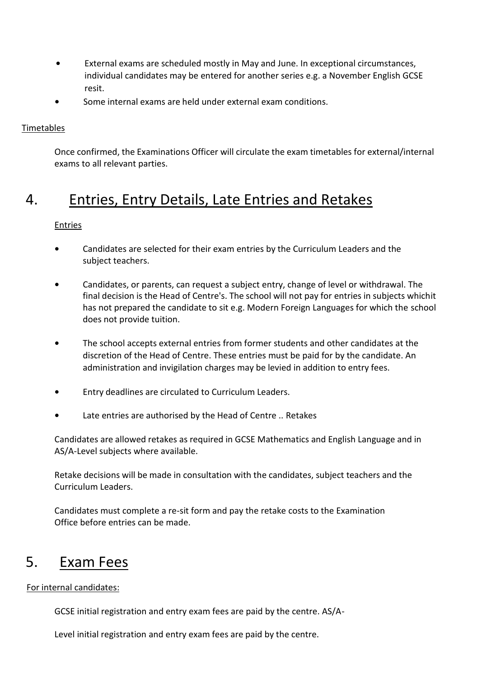- **•** External exams are scheduled mostly in May and June. In exceptional circumstances, individual candidates may be entered for another series e.g. a November English GCSE resit.
- **•** Some internal exams are held under external exam conditions.

### Timetables

Once confirmed, the Examinations Officer will circulate the exam timetables for external/internal exams to all relevant parties.

### 4. Entries, Entry Details, Late Entries and Retakes

### Entries

- **•** Candidates are selected for their exam entries by the Curriculum Leaders and the subject teachers.
- **•** Candidates, or parents, can request a subject entry, change of level or withdrawal. The final decision is the Head of Centre's. The school will not pay for entries in subjects whichit has not prepared the candidate to sit e.g. Modern Foreign Languages for which the school does not provide tuition.
- **•** The school accepts external entries from former students and other candidates at the discretion of the Head of Centre. These entries must be paid for by the candidate. An administration and invigilation charges may be levied in addition to entry fees.
- **•** Entry deadlines are circulated to Curriculum Leaders.
- **•** Late entries are authorised by the Head of Centre .. Retakes

Candidates are allowed retakes as required in GCSE Mathematics and English Language and in AS/A-Level subjects where available.

Retake decisions will be made in consultation with the candidates, subject teachers and the Curriculum Leaders.

Candidates must complete a re-sit form and pay the retake costs to the Examination Office before entries can be made.

### 5. Exam Fees

For internal candidates:

GCSE initial registration and entry exam fees are paid by the centre. AS/A-

Level initial registration and entry exam fees are paid by the centre.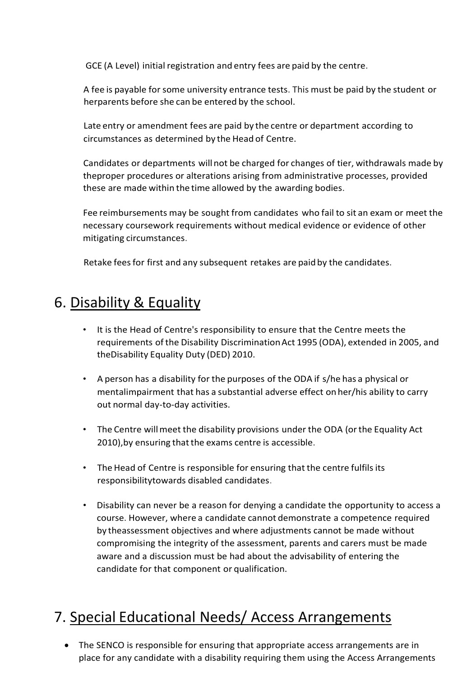GCE (A Level) initial registration and entry fees are paid by the centre.

A fee is payable for some university entrance tests. This must be paid by the student or herparents before she can be entered by the school.

Late entry or amendment fees are paid by the centre or department according to circumstances as determined by the Head of Centre.

Candidates or departments willnot be charged for changes of tier, withdrawals made by theproper procedures or alterations arising from administrative processes, provided these are made within the time allowed by the awarding bodies.

Fee reimbursements may be sought from candidates who fail to sit an exam or meet the necessary coursework requirements without medical evidence or evidence of other mitigating circumstances.

Retake fees for first and any subsequent retakes are paid by the candidates.

### 6. Disability & Equality

- It is the Head of Centre's responsibility to ensure that the Centre meets the requirements of the Disability DiscriminationAct 1995 (ODA), extended in 2005, and theDisability Equality Duty (DED) 2010.
- A person has a disability for the purposes of the ODA if s/he has a physical or mentalimpairment that has a substantial adverse effect on her/his ability to carry out normal day-to-day activities.
- The Centre will meet the disability provisions under the ODA (or the Equality Act 2010), by ensuring that the exams centre is accessible.
- The Head of Centre is responsible for ensuring that the centre fulfils its responsibilitytowards disabled candidates.
- Disability can never be a reason for denying a candidate the opportunity to access a course. However, where a candidate cannot demonstrate a competence required by theassessment objectives and where adjustments cannot be made without compromising the integrity of the assessment, parents and carers must be made aware and a discussion must be had about the advisability of entering the candidate for that component or qualification.

## 7. Special Educational Needs/ Access Arrangements

 The SENCO is responsible for ensuring that appropriate access arrangements are in place for any candidate with a disability requiring them using the Access Arrangements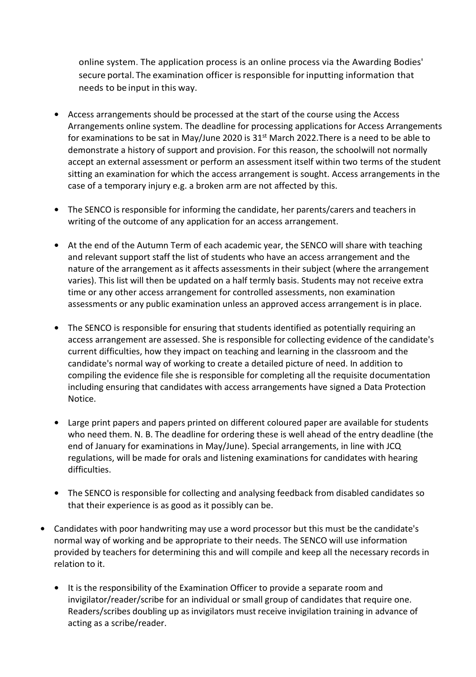online system. The application process is an online process via the Awarding Bodies' secure portal. The examination officer is responsible for inputting information that needs to be input in this way.

- **•** Access arrangements should be processed at the start of the course using the Access Arrangements online system. The deadline for processing applications for Access Arrangements for examinations to be sat in May/June 2020 is  $31<sup>st</sup>$  March 2022. There is a need to be able to demonstrate a history of support and provision. For this reason, the schoolwill not normally accept an external assessment or perform an assessment itself within two terms of the student sitting an examination for which the access arrangement is sought. Access arrangements in the case of a temporary injury e.g. a broken arm are not affected by this.
- **•** The SENCO is responsible for informing the candidate, her parents/carers and teachers in writing of the outcome of any application for an access arrangement.
- **•** At the end of the Autumn Term of each academic year, the SENCO will share with teaching and relevant support staff the list of students who have an access arrangement and the nature of the arrangement as it affects assessments in their subject (where the arrangement varies). This list will then be updated on a half termly basis. Students may not receive extra time or any other access arrangement for controlled assessments, non examination assessments or any public examination unless an approved access arrangement is in place.
- **•** The SENCO is responsible for ensuring that students identified as potentially requiring an access arrangement are assessed. She is responsible for collecting evidence of the candidate's current difficulties, how they impact on teaching and learning in the classroom and the candidate's normal way of working to create a detailed picture of need. In addition to compiling the evidence file she is responsible for completing all the requisite documentation including ensuring that candidates with access arrangements have signed a Data Protection Notice.
- **•** Large print papers and papers printed on different coloured paper are available for students who need them. N. B. The deadline for ordering these is well ahead of the entry deadline (the end of January for examinations in May/June). Special arrangements, in line with JCQ regulations, will be made for orals and listening examinations for candidates with hearing difficulties.
- **•** The SENCO is responsible for collecting and analysing feedback from disabled candidates so that their experience is as good as it possibly can be.
- **•** Candidates with poor handwriting may use a word processor but this must be the candidate's normal way of working and be appropriate to their needs. The SENCO will use information provided by teachers for determining this and will compile and keep all the necessary records in relation to it.
	- **•** It is the responsibility of the Examination Officer to provide a separate room and invigilator/reader/scribe for an individual or small group of candidates that require one. Readers/scribes doubling up as invigilators must receive invigilation training in advance of acting as a scribe/reader.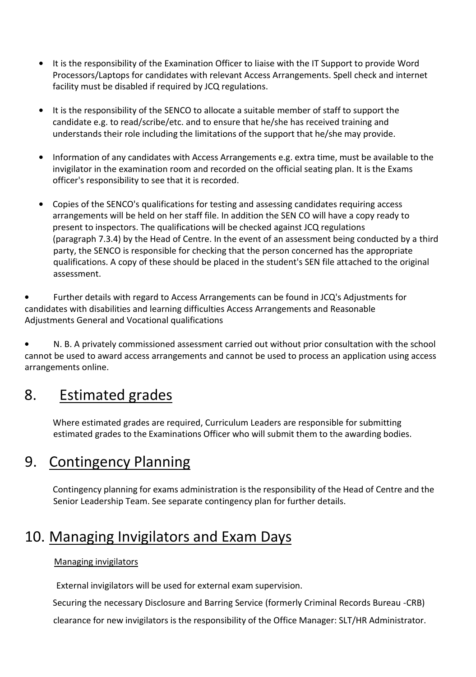- **•** It is the responsibility of the Examination Officer to liaise with the IT Support to provide Word Processors/Laptops for candidates with relevant Access Arrangements. Spell check and internet facility must be disabled if required by JCQ regulations.
- **•** It is the responsibility of the SENCO to allocate a suitable member of staff to support the candidate e.g. to read/scribe/etc. and to ensure that he/she has received training and understands their role including the limitations of the support that he/she may provide.
- **•** Information of any candidates with Access Arrangements e.g. extra time, must be available to the invigilator in the examination room and recorded on the official seating plan. It is the Exams officer's responsibility to see that it is recorded.
- **•** Copies of the SENCO's qualifications for testing and assessing candidates requiring access arrangements will be held on her staff file. In addition the SEN CO will have a copy ready to present to inspectors. The qualifications will be checked against JCQ regulations (paragraph 7.3.4) by the Head of Centre. In the event of an assessment being conducted by a third party, the SENCO is responsible for checking that the person concerned has the appropriate qualifications. A copy of these should be placed in the student's SEN file attached to the original assessment.

**•** Further details with regard to Access Arrangements can be found in JCQ's Adjustments for candidates with disabilities and learning difficulties Access Arrangements and Reasonable Adjustments General and Vocational qualifications

**•** N. B. A privately commissioned assessment carried out without prior consultation with the school cannot be used to award access arrangements and cannot be used to process an application using access arrangements online.

### 8. Estimated grades

Where estimated grades are required, Curriculum Leaders are responsible for submitting estimated grades to the Examinations Officer who will submit them to the awarding bodies.

### 9. Contingency Planning

Contingency planning for exams administration is the responsibility of the Head of Centre and the Senior Leadership Team. See separate contingency plan for further details.

### 10. Managing Invigilators and Exam Days

### Managing invigilators

External invigilators will be used for external exam supervision.

Securing the necessary Disclosure and Barring Service (formerly Criminal Records Bureau -CRB)

clearance for new invigilators is the responsibility of the Office Manager: SLT/HR Administrator.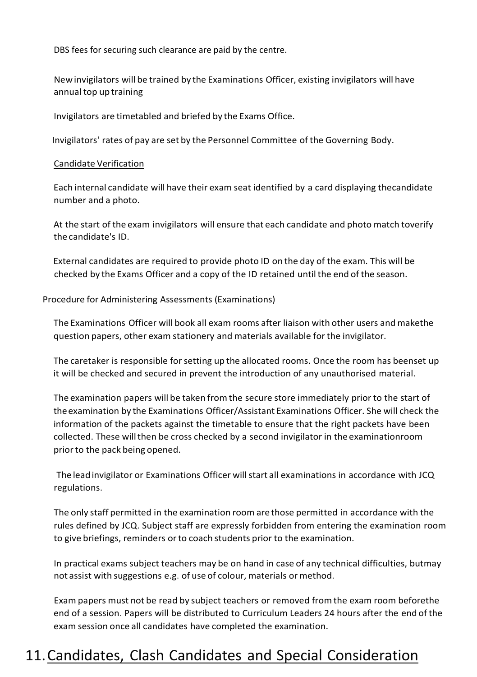DBS fees for securing such clearance are paid by the centre.

Newinvigilators will be trained by the Examinations Officer, existing invigilators will have annual top up training

Invigilators are timetabled and briefed by the Exams Office.

Invigilators' rates of pay are set by the Personnel Committee of the Governing Body.

#### Candidate Verification

Each internal candidate will have their exam seat identified by a card displaying thecandidate number and a photo.

At the start of the exam invigilators will ensure that each candidate and photo match toverify the candidate's ID.

External candidates are required to provide photo ID on the day of the exam. This will be checked by the Exams Officer and a copy of the ID retained until the end of the season.

#### Procedure for Administering Assessments (Examinations)

The Examinations Officer will book all exam rooms after liaison with other users and makethe question papers, other exam stationery and materials available forthe invigilator.

The caretaker is responsible for setting up the allocated rooms. Once the room has beenset up it will be checked and secured in prevent the introduction of any unauthorised material.

The examination papers will be taken fromthe secure store immediately prior to the start of theexamination by the Examinations Officer/Assistant Examinations Officer. She will check the information of the packets against the timetable to ensure that the right packets have been collected. These willthen be cross checked by a second invigilator in the examinationroom priorto the pack being opened.

The lead invigilator or Examinations Officer will start all examinations in accordance with JCQ regulations.

The only staff permitted in the examination room are those permitted in accordance with the rules defined by JCQ. Subject staff are expressly forbidden from entering the examination room to give briefings, reminders orto coach students prior to the examination.

In practical exams subject teachers may be on hand in case of any technical difficulties, butmay not assist with suggestions e.g. of use of colour, materials or method.

Exam papers must not be read by subject teachers or removed fromthe exam room beforethe end of a session. Papers will be distributed to Curriculum Leaders 24 hours after the end of the exam session once all candidates have completed the examination.

### 11. Candidates, Clash Candidates and Special Consideration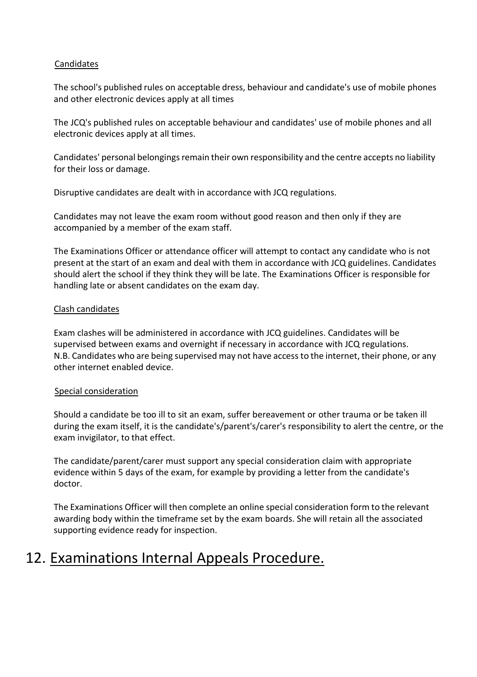### **Candidates**

The school's published rules on acceptable dress, behaviour and candidate's use of mobile phones and other electronic devices apply at all times

The JCQ's published rules on acceptable behaviour and candidates' use of mobile phones and all electronic devices apply at all times.

Candidates' personal belongings remain their own responsibility and the centre accepts no liability for their loss or damage.

Disruptive candidates are dealt with in accordance with JCQ regulations.

Candidates may not leave the exam room without good reason and then only if they are accompanied by a member of the exam staff.

The Examinations Officer or attendance officer will attempt to contact any candidate who is not present at the start of an exam and deal with them in accordance with JCQ guidelines. Candidates should alert the school if they think they will be late. The Examinations Officer is responsible for handling late or absent candidates on the exam day.

#### Clash candidates

Exam clashes will be administered in accordance with JCQ guidelines. Candidates will be supervised between exams and overnight if necessary in accordance with JCQ regulations. N.B. Candidates who are being supervised may not have access to the internet, their phone, or any other internet enabled device.

#### Special consideration

Should a candidate be too ill to sit an exam, suffer bereavement or other trauma or be taken ill during the exam itself, it is the candidate's/parent's/carer's responsibility to alert the centre, or the exam invigilator, to that effect.

The candidate/parent/carer must support any special consideration claim with appropriate evidence within 5 days of the exam, for example by providing a letter from the candidate's doctor.

The Examinations Officer will then complete an online special consideration form to the relevant awarding body within the timeframe set by the exam boards. She will retain all the associated supporting evidence ready for inspection.

### 12. Examinations Internal Appeals Procedure.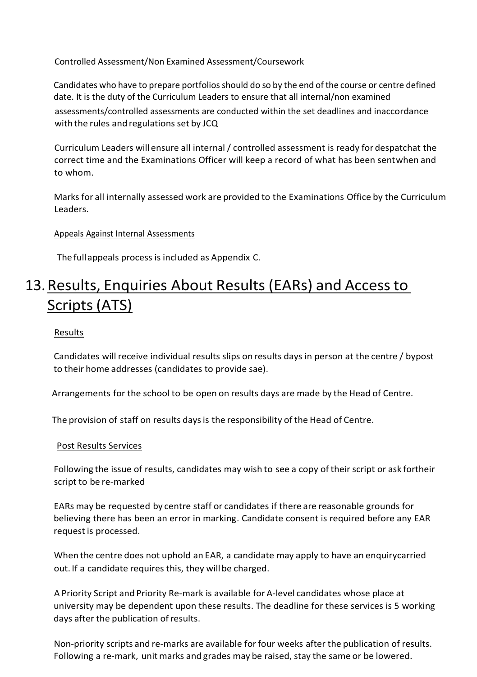Controlled Assessment/Non Examined Assessment/Coursework

Candidates who have to prepare portfolios should do so by the end of the course or centre defined date. It is the duty of the Curriculum Leaders to ensure that all internal/non examined assessments/controlled assessments are conducted within the set deadlines and inaccordance with the rules and regulations set by JCQ

Curriculum Leaders will ensure all internal / controlled assessment is ready for despatchat the correct time and the Examinations Officer will keep a record of what has been sentwhen and to whom.

Marks for all internally assessed work are provided to the Examinations Office by the Curriculum Leaders.

#### Appeals Against Internal Assessments

The fullappeals process is included as Appendix C.

### 13. Results, Enquiries About Results (EARs) and Access to Scripts(ATS)

#### Results

Candidates will receive individual results slips on results days in person at the centre / bypost to their home addresses (candidates to provide sae).

Arrangements for the school to be open on results days are made by the Head of Centre.

The provision of staff on results daysis the responsibility of the Head of Centre.

#### Post Results Services

Following the issue of results, candidates may wish to see a copy of their script or ask fortheir script to be re-marked

EARs may be requested by centre staff or candidates if there are reasonable grounds for believing there has been an error in marking. Candidate consent is required before any EAR request is processed.

When the centre does not uphold an EAR, a candidate may apply to have an enquirycarried out. If a candidate requires this, they will be charged.

A Priority Script and Priority Re-mark is available for A-level candidates whose place at university may be dependent upon these results. The deadline for these services is 5 working days after the publication ofresults.

Non-priority scripts and re-marks are available forfour weeks after the publication of results. Following a re-mark, unit marks and grades may be raised, stay the same or be lowered.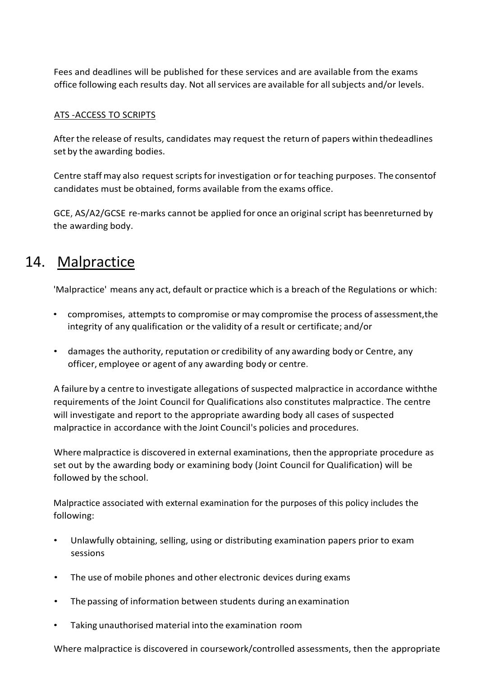Fees and deadlines will be published for these services and are available from the exams office following each results day. Not all services are available for all subjects and/or levels.

### ATS -ACCESS TO SCRIPTS

After the release of results, candidates may request the return of papers within thedeadlines set by the awarding bodies.

Centre staff may also request scripts for investigation or for teaching purposes. The consentof candidates must be obtained, forms available from the exams office.

GCE, AS/A2/GCSE re-marks cannot be applied for once an original script has beenreturned by the awarding body.

### 14. Malpractice

'Malpractice' means any act, default or practice which is a breach of the Regulations or which:

- compromises, attempts to compromise or may compromise the process of assessment, the integrity of any qualification or the validity of a result or certificate; and/or
- damages the authority, reputation or credibility of any awarding body or Centre, any officer, employee or agent of any awarding body or centre.

A failure by a centre to investigate allegations of suspected malpractice in accordance withthe requirements of the Joint Council for Qualifications also constitutes malpractice. The centre will investigate and report to the appropriate awarding body all cases of suspected malpractice in accordance with the Joint Council's policies and procedures.

Where malpractice is discovered in external examinations, then the appropriate procedure as set out by the awarding body or examining body (Joint Council for Qualification) will be followed by the school.

Malpractice associated with external examination for the purposes of this policy includes the following:

- Unlawfully obtaining, selling, using or distributing examination papers prior to exam sessions
- The use of mobile phones and other electronic devices during exams
- The passing of information between students during anexamination
- Taking unauthorised material into the examination room

Where malpractice is discovered in coursework/controlled assessments, then the appropriate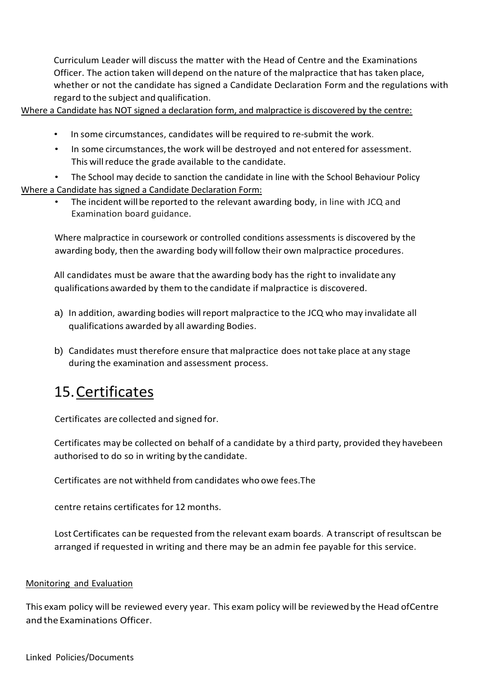Curriculum Leader will discuss the matter with the Head of Centre and the Examinations Officer. The action taken will depend on the nature of themalpractice that has taken place, whether or not the candidate has signed a Candidate Declaration Form and the regulations with regard to the subject and qualification.

Where a Candidate has NOT signed a declaration form, and malpractice is discovered by the centre:

- In some circumstances, candidates will be required to re-submit the work.
- In some circumstances, the work will be destroyed and not entered for assessment. This will reduce the grade available to the candidate.
- The School may decide to sanction the candidate in line with the School Behaviour Policy Where a Candidate has signed a Candidate Declaration Form:
	- The incident will be reported to the relevant awarding body, in line with JCQ and Examination board guidance.

Where malpractice in coursework or controlled conditions assessments is discovered by the awarding body, then the awarding body willfollow their own malpractice procedures.

All candidates must be aware thatthe awarding body has the right to invalidate any qualifications awarded by them to the candidate if malpractice is discovered.

- a) In addition, awarding bodies will report malpractice to the JCQ who may invalidate all qualifications awarded by all awarding Bodies.
- b) Candidates must therefore ensure that malpractice does nottake place at any stage during the examination and assessment process.

### 15.Certificates

Certificates are collected and signed for.

Certificates may be collected on behalf of a candidate by a third party, provided they havebeen authorised to do so in writing by the candidate.

Certificates are not withheld from candidates who owe fees.The

centre retains certificates for 12 months.

Lost Certificates can be requested from the relevant exam boards. A transcript of resultscan be arranged if requested in writing and there may be an admin fee payable for this service.

### Monitoring and Evaluation

This exam policy will be reviewed every year. This exam policy will be reviewed by the Head ofCentre and the Examinations Officer.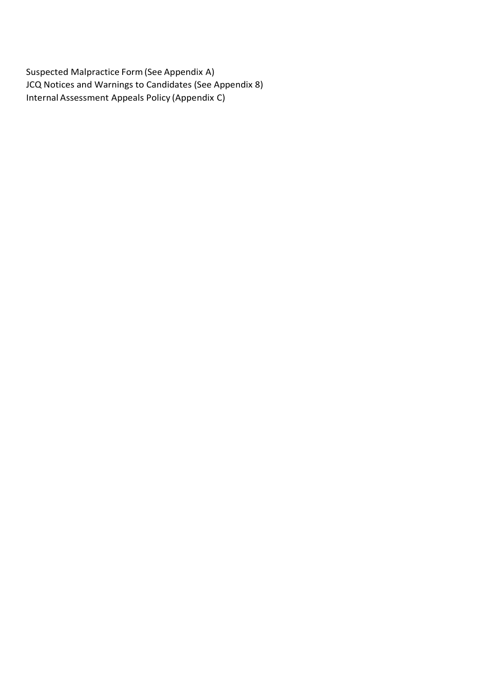Suspected Malpractice Form(See Appendix A) JCQ Notices and Warnings to Candidates (See Appendix 8) Internal Assessment Appeals Policy (Appendix C)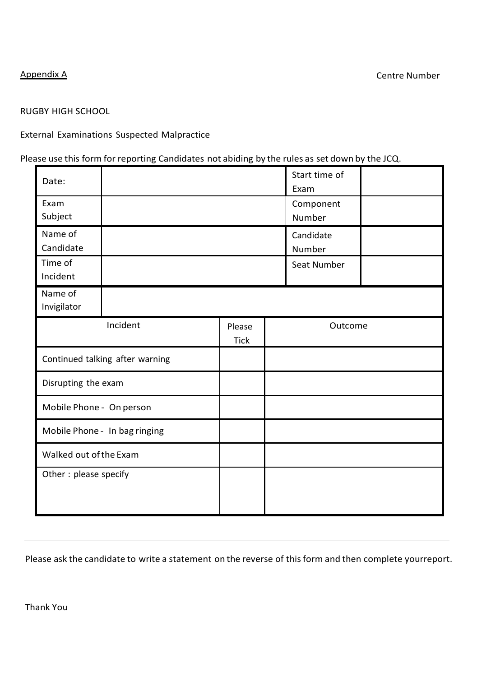### RUGBY HIGH SCHOOL

### External Examinations Suspected Malpractice

### Please use this form for reporting Candidates not abiding by the rules as set down by the JCQ.

| Date:                           |          |                       |                     | Start time of<br>Exam |  |
|---------------------------------|----------|-----------------------|---------------------|-----------------------|--|
| Exam<br>Subject                 |          |                       |                     | Component<br>Number   |  |
| Name of<br>Candidate            |          |                       | Candidate<br>Number |                       |  |
| Time of<br>Incident             |          |                       | Seat Number         |                       |  |
| Name of<br>Invigilator          |          |                       |                     |                       |  |
|                                 | Incident | Please<br><b>Tick</b> |                     | Outcome               |  |
| Continued talking after warning |          |                       |                     |                       |  |
| Disrupting the exam             |          |                       |                     |                       |  |
| Mobile Phone - On person        |          |                       |                     |                       |  |
| Mobile Phone - In bag ringing   |          |                       |                     |                       |  |
| Walked out of the Exam          |          |                       |                     |                       |  |
| Other: please specify           |          |                       |                     |                       |  |

Please ask the candidate to write a statement on the reverse of this form and then complete yourreport.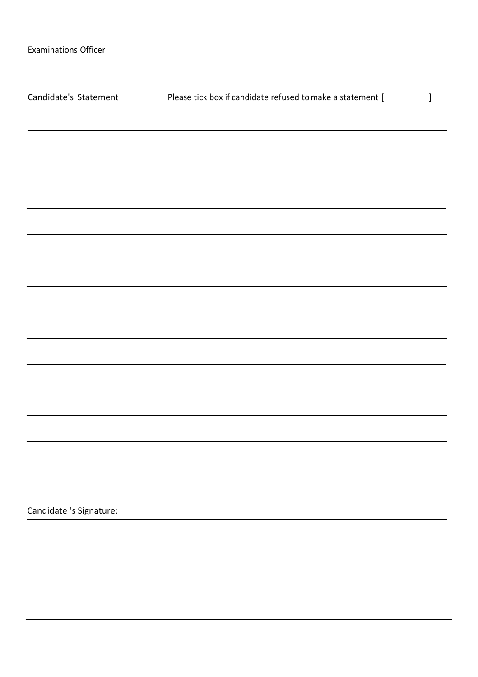| Candidate's Statement   | Please tick box if candidate refused to make a statement [                        | $\mathbf{l}$ |
|-------------------------|-----------------------------------------------------------------------------------|--------------|
|                         |                                                                                   |              |
|                         |                                                                                   |              |
|                         |                                                                                   |              |
|                         | ,我们也不能在这里的时候,我们也不能在这里的时候,我们也不能会在这里的时候,我们也不能会在这里的时候,我们也不能会在这里的时候,我们也不能会在这里的时候,我们也不 |              |
|                         |                                                                                   |              |
|                         |                                                                                   |              |
|                         |                                                                                   |              |
|                         |                                                                                   |              |
|                         |                                                                                   |              |
|                         |                                                                                   |              |
|                         |                                                                                   |              |
|                         |                                                                                   |              |
|                         |                                                                                   |              |
|                         |                                                                                   |              |
|                         |                                                                                   |              |
|                         |                                                                                   |              |
|                         |                                                                                   |              |
| Candidate 's Signature: |                                                                                   |              |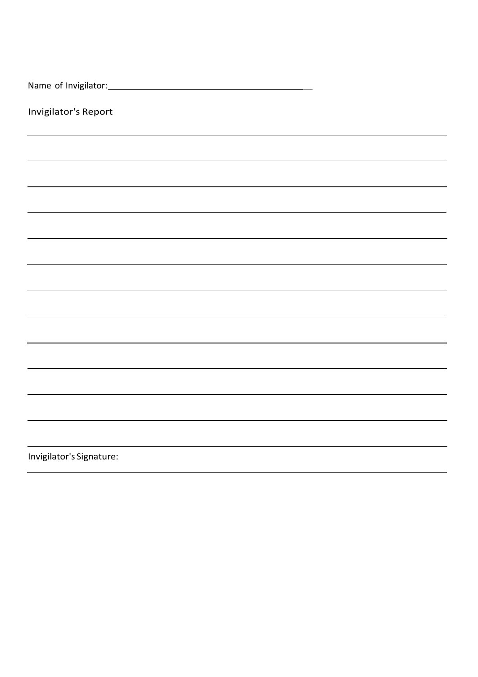| Invigilator's Report     |
|--------------------------|
|                          |
|                          |
|                          |
|                          |
|                          |
|                          |
|                          |
|                          |
|                          |
|                          |
|                          |
|                          |
| Invigilator's Signature: |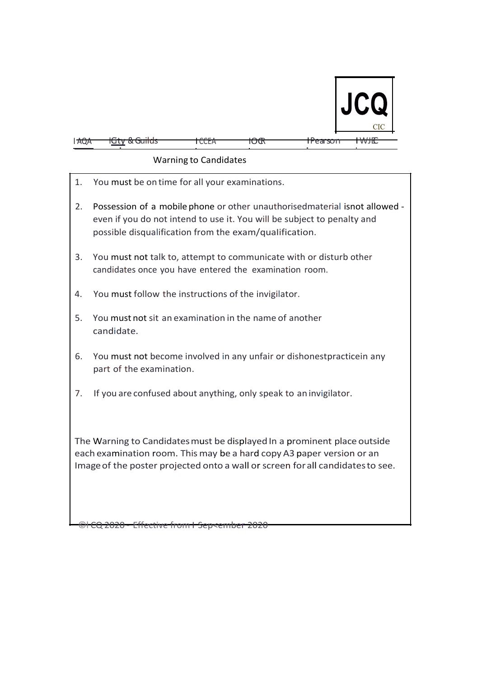

| <b>AQA</b> | <u>tGty &amp; Guilds</u> | TCCEA | TUUR | <del>TPearson</del> | <del>I WJIC</del> |
|------------|--------------------------|-------|------|---------------------|-------------------|

### Warning to Candidates

1. You must be on time for all your examinations. 2. Possession of a mobile phone or other unauthorisedmaterial isnot allowed even if you do not intend to use it. You will be subject to penalty and possible disqualification from the exam/qualification. 3. You must not talk to, attempt to communicate with or disturb other candidates once you have entered the examination room. 4. You must follow the instructions of the invigilator. 5. You must not sit an examination in the name of another candidate. 6. You must not become involved in any unfair or dishonestpracticein any part of the examination. 7. If you are confused about anything, only speak to an invigilator.

The Warning to Candidatesmust be displayed In a prominent place outside each examination room. This may be a hard copy A3 paper version or an Imageof the poster projected onto a wall or screen forall candidatesto see.

©l CQ 2020 - Effective from I Sep<ember 2020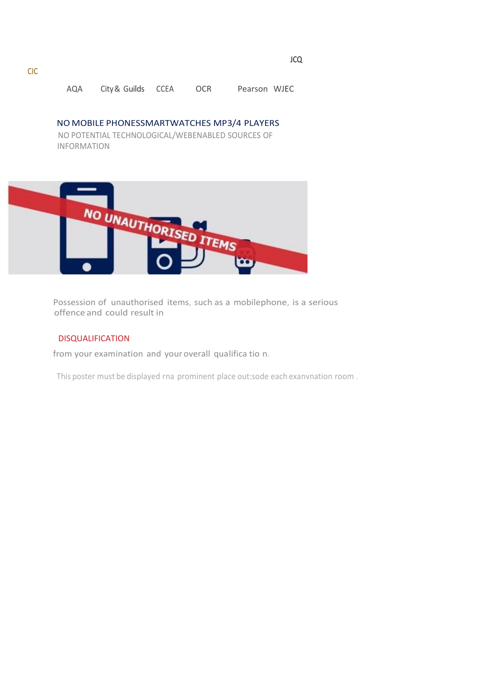AQA City& Guilds CCEA OCR Pearson WJEC

NO MOBILE PHONESSMARTWATCHES MP3/4 PLAYERS

NO POTENTIAL TECHNOLOGICAL/WEBENABLED SOURCES OF INFORMATION



Possession of unauthorised items, such as a mobilephone, is a serious offence and could result in

#### DISQUALIFICATION

from your examination and your overall qualifica tio n.

This poster must be displayed rna prominent place out:sode each exanvnation room .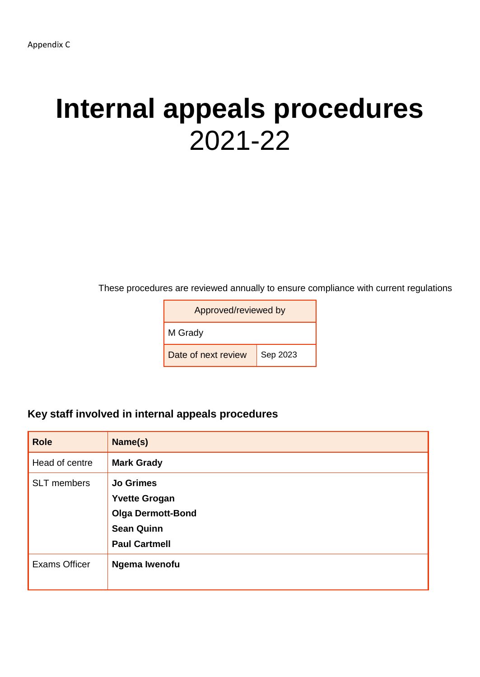## **Internal appeals procedures** 2021-22

These procedures are reviewed annually to ensure compliance with current regulations

| Approved/reviewed by |          |  |  |
|----------------------|----------|--|--|
| M Grady              |          |  |  |
| Date of next review  | Sep 2023 |  |  |

### **Key staff involved in internal appeals procedures**

| <b>Role</b>          | Name(s)                                                                                                           |
|----------------------|-------------------------------------------------------------------------------------------------------------------|
| Head of centre       | <b>Mark Grady</b>                                                                                                 |
| <b>SLT</b> members   | <b>Jo Grimes</b><br><b>Yvette Grogan</b><br><b>Olga Dermott-Bond</b><br><b>Sean Quinn</b><br><b>Paul Cartmell</b> |
| <b>Exams Officer</b> | Ngema Iwenofu                                                                                                     |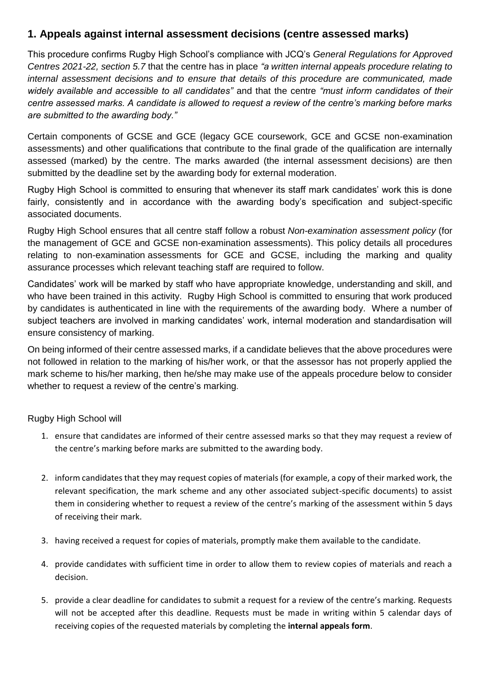### **1. Appeals against internal assessment decisions (centre assessed marks)**

This procedure confirms Rugby High School's compliance with JCQ's *General Regulations for Approved Centres 2021-22, section 5.7* that the centre has in place *"a written internal appeals procedure relating to internal assessment decisions and to ensure that details of this procedure are communicated, made widely available and accessible to all candidates"* and that the centre *"must inform candidates of their centre assessed marks. A candidate is allowed to request a review of the centre's marking before marks are submitted to the awarding body."*

Certain components of GCSE and GCE (legacy GCE coursework, GCE and GCSE non-examination assessments) and other qualifications that contribute to the final grade of the qualification are internally assessed (marked) by the centre. The marks awarded (the internal assessment decisions) are then submitted by the deadline set by the awarding body for external moderation.

Rugby High School is committed to ensuring that whenever its staff mark candidates' work this is done fairly, consistently and in accordance with the awarding body's specification and subject-specific associated documents.

Rugby High School ensures that all centre staff follow a robust *Non-examination assessment policy* (for the management of GCE and GCSE non-examination assessments). This policy details all procedures relating to non-examination assessments for GCE and GCSE, including the marking and quality assurance processes which relevant teaching staff are required to follow.

Candidates' work will be marked by staff who have appropriate knowledge, understanding and skill, and who have been trained in this activity. Rugby High School is committed to ensuring that work produced by candidates is authenticated in line with the requirements of the awarding body. Where a number of subject teachers are involved in marking candidates' work, internal moderation and standardisation will ensure consistency of marking.

On being informed of their centre assessed marks, if a candidate believes that the above procedures were not followed in relation to the marking of his/her work, or that the assessor has not properly applied the mark scheme to his/her marking, then he/she may make use of the appeals procedure below to consider whether to request a review of the centre's marking.

Rugby High School will

- 1. ensure that candidates are informed of their centre assessed marks so that they may request a review of the centre's marking before marks are submitted to the awarding body.
- 2. inform candidates that they may request copies of materials (for example, a copy of their marked work, the relevant specification, the mark scheme and any other associated subject-specific documents) to assist them in considering whether to request a review of the centre's marking of the assessment within 5 days of receiving their mark.
- 3. having received a request for copies of materials, promptly make them available to the candidate.
- 4. provide candidates with sufficient time in order to allow them to review copies of materials and reach a decision.
- 5. provide a clear deadline for candidates to submit a request for a review of the centre's marking. Requests will not be accepted after this deadline. Requests must be made in writing within 5 calendar days of receiving copies of the requested materials by completing the **internal appeals form**.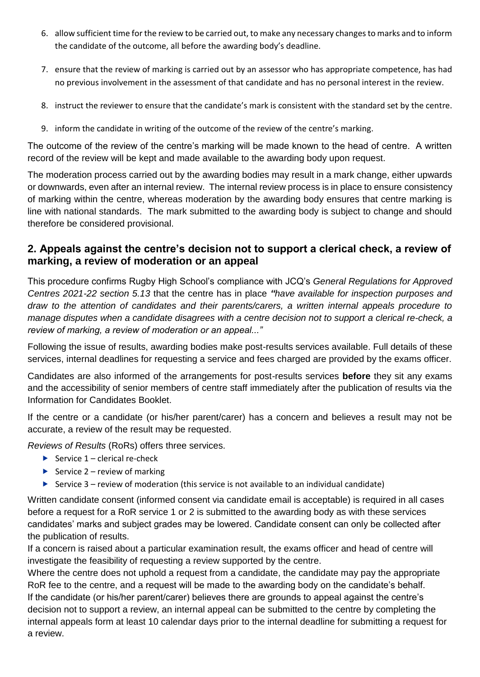- 6. allow sufficient time for the review to be carried out, to make any necessary changes to marks and to inform the candidate of the outcome, all before the awarding body's deadline.
- 7. ensure that the review of marking is carried out by an assessor who has appropriate competence, has had no previous involvement in the assessment of that candidate and has no personal interest in the review.
- 8. instruct the reviewer to ensure that the candidate's mark is consistent with the standard set by the centre.
- 9. inform the candidate in writing of the outcome of the review of the centre's marking.

The outcome of the review of the centre's marking will be made known to the head of centre. A written record of the review will be kept and made available to the awarding body upon request.

The moderation process carried out by the awarding bodies may result in a mark change, either upwards or downwards, even after an internal review. The internal review process is in place to ensure consistency of marking within the centre, whereas moderation by the awarding body ensures that centre marking is line with national standards. The mark submitted to the awarding body is subject to change and should therefore be considered provisional.

### **2. Appeals against the centre's decision not to support a clerical check, a review of marking, a review of moderation or an appeal**

This procedure confirms Rugby High School's compliance with JCQ's *General Regulations for Approved Centres 2021-22 section 5.13* that the centre has in place *"have available for inspection purposes and draw to the attention of candidates and their parents/carers, a written internal appeals procedure to manage disputes when a candidate disagrees with a centre decision not to support a clerical re-check, a review of marking, a review of moderation or an appeal..."*

Following the issue of results, awarding bodies make post-results services available. Full details of these services, internal deadlines for requesting a service and fees charged are provided by the exams officer.

Candidates are also informed of the arrangements for post-results services **before** they sit any exams and the accessibility of senior members of centre staff immediately after the publication of results via the Information for Candidates Booklet.

If the centre or a candidate (or his/her parent/carer) has a concern and believes a result may not be accurate, a review of the result may be requested.

*Reviews of Results* (RoRs) offers three services.

- Service  $1$  clerical re-check
- Service  $2$  review of marking
- Service  $3$  review of moderation (this service is not available to an individual candidate)

Written candidate consent (informed consent via candidate email is acceptable) is required in all cases before a request for a RoR service 1 or 2 is submitted to the awarding body as with these services candidates' marks and subject grades may be lowered. Candidate consent can only be collected after the publication of results.

If a concern is raised about a particular examination result, the exams officer and head of centre will investigate the feasibility of requesting a review supported by the centre.

Where the centre does not uphold a request from a candidate, the candidate may pay the appropriate RoR fee to the centre, and a request will be made to the awarding body on the candidate's behalf. If the candidate (or his/her parent/carer) believes there are grounds to appeal against the centre's decision not to support a review, an internal appeal can be submitted to the centre by completing the internal appeals form at least 10 calendar days prior to the internal deadline for submitting a request for a review.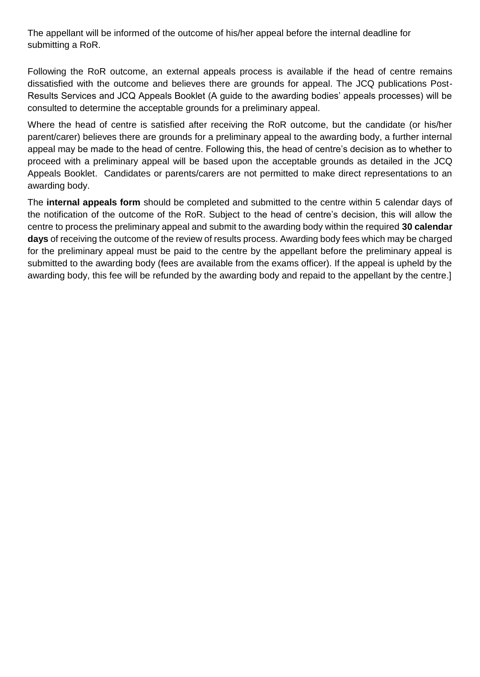The appellant will be informed of the outcome of his/her appeal before the internal deadline for submitting a RoR.

Following the RoR outcome, an external appeals process is available if the head of centre remains dissatisfied with the outcome and believes there are grounds for appeal. The JCQ publications Post-Results Services and JCQ Appeals Booklet (A guide to the awarding bodies' appeals processes) will be consulted to determine the acceptable grounds for a preliminary appeal.

Where the head of centre is satisfied after receiving the RoR outcome, but the candidate (or his/her parent/carer) believes there are grounds for a preliminary appeal to the awarding body, a further internal appeal may be made to the head of centre. Following this, the head of centre's decision as to whether to proceed with a preliminary appeal will be based upon the acceptable grounds as detailed in the JCQ Appeals Booklet. Candidates or parents/carers are not permitted to make direct representations to an awarding body.

The **internal appeals form** should be completed and submitted to the centre within 5 calendar days of the notification of the outcome of the RoR. Subject to the head of centre's decision, this will allow the centre to process the preliminary appeal and submit to the awarding body within the required **30 calendar days** of receiving the outcome of the review of results process. Awarding body fees which may be charged for the preliminary appeal must be paid to the centre by the appellant before the preliminary appeal is submitted to the awarding body (fees are available from the exams officer). If the appeal is upheld by the awarding body, this fee will be refunded by the awarding body and repaid to the appellant by the centre.]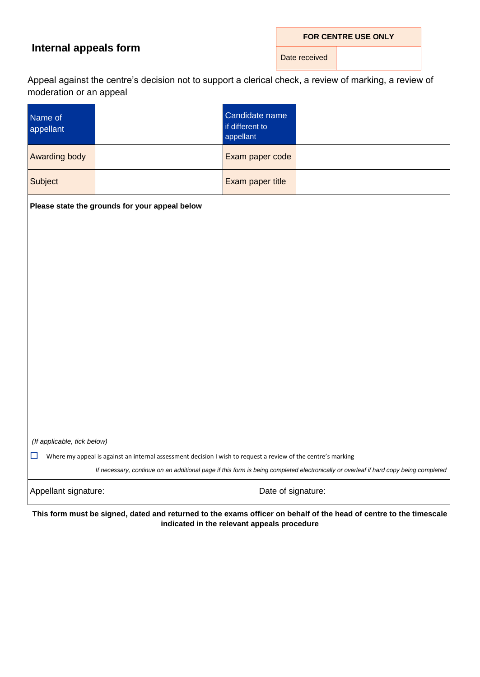### **Internal appeals form**

**FOR CENTRE USE ONLY**

Date received

Appeal against the centre's decision not to support a clerical check, a review of marking, a review of moderation or an appeal

| Name of<br>appellant        |                                                                                                               | Candidate name<br>if different to<br>appellant |                                                                                                                                      |
|-----------------------------|---------------------------------------------------------------------------------------------------------------|------------------------------------------------|--------------------------------------------------------------------------------------------------------------------------------------|
| Awarding body               |                                                                                                               | Exam paper code                                |                                                                                                                                      |
| Subject                     |                                                                                                               | Exam paper title                               |                                                                                                                                      |
|                             | Please state the grounds for your appeal below                                                                |                                                |                                                                                                                                      |
|                             |                                                                                                               |                                                |                                                                                                                                      |
|                             |                                                                                                               |                                                |                                                                                                                                      |
|                             |                                                                                                               |                                                |                                                                                                                                      |
|                             |                                                                                                               |                                                |                                                                                                                                      |
|                             |                                                                                                               |                                                |                                                                                                                                      |
|                             |                                                                                                               |                                                |                                                                                                                                      |
|                             |                                                                                                               |                                                |                                                                                                                                      |
|                             |                                                                                                               |                                                |                                                                                                                                      |
|                             |                                                                                                               |                                                |                                                                                                                                      |
| (If applicable, tick below) |                                                                                                               |                                                |                                                                                                                                      |
| $\Box$                      | Where my appeal is against an internal assessment decision I wish to request a review of the centre's marking |                                                | If necessary, continue on an additional page if this form is being completed electronically or overleaf if hard copy being completed |
| Appellant signature:        |                                                                                                               | Date of signature:                             |                                                                                                                                      |

**This form must be signed, dated and returned to the exams officer on behalf of the head of centre to the timescale indicated in the relevant appeals procedure**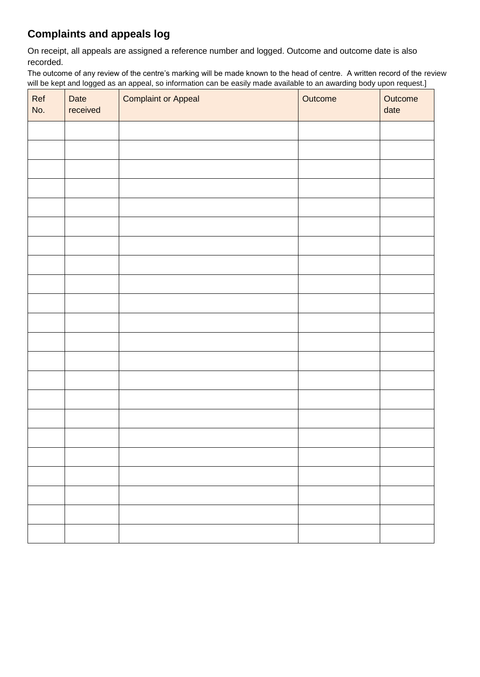### **Complaints and appeals log**

On receipt, all appeals are assigned a reference number and logged. Outcome and outcome date is also recorded.

The outcome of any review of the centre's marking will be made known to the head of centre. A written record of the review will be kept and logged as an appeal, so information can be easily made available to an awarding body upon request.]

| Ref<br>No. | Date<br>received | <b>Complaint or Appeal</b> | Outcome | Outcome<br>date |
|------------|------------------|----------------------------|---------|-----------------|
|            |                  |                            |         |                 |
|            |                  |                            |         |                 |
|            |                  |                            |         |                 |
|            |                  |                            |         |                 |
|            |                  |                            |         |                 |
|            |                  |                            |         |                 |
|            |                  |                            |         |                 |
|            |                  |                            |         |                 |
|            |                  |                            |         |                 |
|            |                  |                            |         |                 |
|            |                  |                            |         |                 |
|            |                  |                            |         |                 |
|            |                  |                            |         |                 |
|            |                  |                            |         |                 |
|            |                  |                            |         |                 |
|            |                  |                            |         |                 |
|            |                  |                            |         |                 |
|            |                  |                            |         |                 |
|            |                  |                            |         |                 |
|            |                  |                            |         |                 |
|            |                  |                            |         |                 |
|            |                  |                            |         |                 |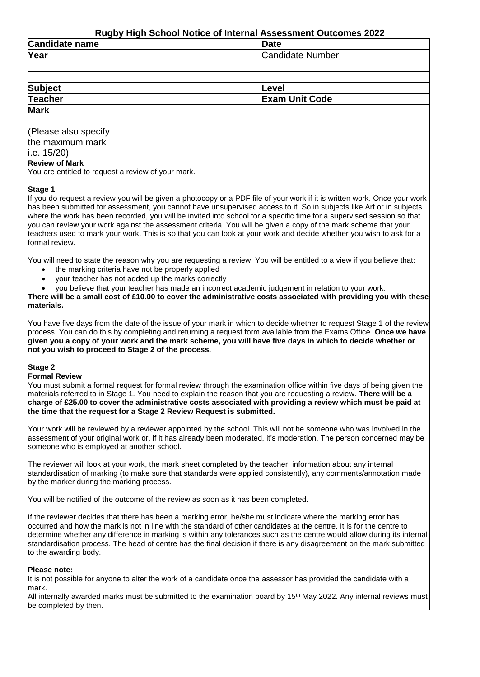### **Rugby High School Notice of Internal Assessment Outcomes 2022**

| - -<br>Candidate name                    | <b>Date</b>             |  |
|------------------------------------------|-------------------------|--|
| Year                                     | <b>Candidate Number</b> |  |
|                                          |                         |  |
| <b>Subject</b>                           | Level                   |  |
| <b>Teacher</b>                           | <b>Exam Unit Code</b>   |  |
| <b>Mark</b>                              |                         |  |
| (Please also specify<br>the maximum mark |                         |  |
| i.e. $15/20$ )                           |                         |  |

#### **Review of Mark**

You are entitled to request a review of your mark.

#### **Stage 1**

If you do request a review you will be given a photocopy or a PDF file of your work if it is written work. Once your work has been submitted for assessment, you cannot have unsupervised access to it. So in subjects like Art or in subjects where the work has been recorded, you will be invited into school for a specific time for a supervised session so that you can review your work against the assessment criteria. You will be given a copy of the mark scheme that your teachers used to mark your work. This is so that you can look at your work and decide whether you wish to ask for a formal review.

You will need to state the reason why you are requesting a review. You will be entitled to a view if you believe that:

- the marking criteria have not be properly applied
- your teacher has not added up the marks correctly
- you believe that your teacher has made an incorrect academic judgement in relation to your work.

**There will be a small cost of £10.00 to cover the administrative costs associated with providing you with these materials.**

You have five days from the date of the issue of your mark in which to decide whether to request Stage 1 of the review process. You can do this by completing and returning a request form available from the Exams Office. **Once we have given you a copy of your work and the mark scheme, you will have five days in which to decide whether or not you wish to proceed to Stage 2 of the process.**

#### **Stage 2**

#### **Formal Review**

You must submit a formal request for formal review through the examination office within five days of being given the materials referred to in Stage 1. You need to explain the reason that you are requesting a review. **There will be a charge of £25.00 to cover the administrative costs associated with providing a review which must be paid at the time that the request for a Stage 2 Review Request is submitted.**

Your work will be reviewed by a reviewer appointed by the school. This will not be someone who was involved in the assessment of your original work or, if it has already been moderated, it's moderation. The person concerned may be someone who is employed at another school.

The reviewer will look at your work, the mark sheet completed by the teacher, information about any internal standardisation of marking (to make sure that standards were applied consistently), any comments/annotation made by the marker during the marking process.

You will be notified of the outcome of the review as soon as it has been completed.

If the reviewer decides that there has been a marking error, he/she must indicate where the marking error has occurred and how the mark is not in line with the standard of other candidates at the centre. It is for the centre to determine whether any difference in marking is within any tolerances such as the centre would allow during its internal standardisation process. The head of centre has the final decision if there is any disagreement on the mark submitted to the awarding body.

#### **Please note:**

It is not possible for anyone to alter the work of a candidate once the assessor has provided the candidate with a mark.

All internally awarded marks must be submitted to the examination board by 15<sup>th</sup> May 2022. Any internal reviews must be completed by then.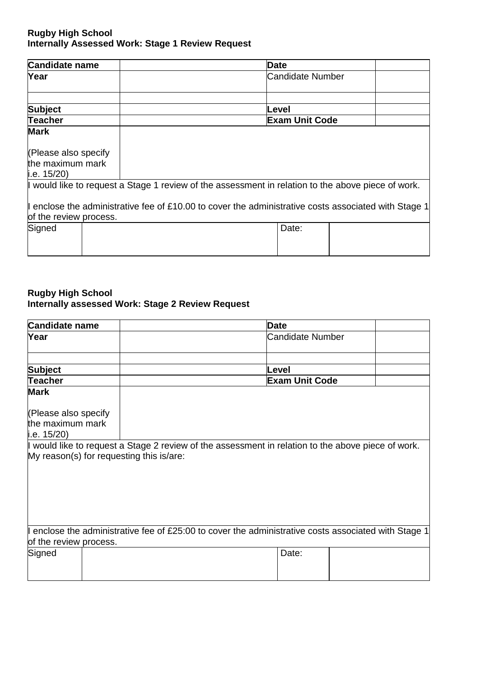| <b>Candidate name</b>  | <b>Date</b>                                                                                          |
|------------------------|------------------------------------------------------------------------------------------------------|
| Year                   | Candidate Number                                                                                     |
|                        |                                                                                                      |
| <b>Subject</b>         | Level                                                                                                |
| <b>Teacher</b>         | <b>Exam Unit Code</b>                                                                                |
| <b>Mark</b>            |                                                                                                      |
| (Please also specify   |                                                                                                      |
| the maximum mark       |                                                                                                      |
| i.e. $15/20$ )         |                                                                                                      |
|                        | I would like to request a Stage 1 review of the assessment in relation to the above piece of work.   |
| of the review process. | I enclose the administrative fee of £10.00 to cover the administrative costs associated with Stage 1 |
| Signed                 | Date:                                                                                                |
|                        |                                                                                                      |
|                        |                                                                                                      |

### **Rugby High School Internally assessed Work: Stage 2 Review Request**

| <b>Candidate name</b>  |                                          | <b>Date</b>                                                                                          |  |
|------------------------|------------------------------------------|------------------------------------------------------------------------------------------------------|--|
| Year                   |                                          | <b>Candidate Number</b>                                                                              |  |
|                        |                                          |                                                                                                      |  |
| <b>Subject</b>         |                                          | Level                                                                                                |  |
| Teacher                |                                          | <b>Exam Unit Code</b>                                                                                |  |
| <b>Mark</b>            |                                          |                                                                                                      |  |
| (Please also specify   |                                          |                                                                                                      |  |
| the maximum mark       |                                          |                                                                                                      |  |
| i.e. $15/20$ )         |                                          |                                                                                                      |  |
|                        |                                          | I would like to request a Stage 2 review of the assessment in relation to the above piece of work.   |  |
|                        | My reason(s) for requesting this is/are: |                                                                                                      |  |
|                        |                                          |                                                                                                      |  |
|                        |                                          |                                                                                                      |  |
|                        |                                          |                                                                                                      |  |
|                        |                                          |                                                                                                      |  |
|                        |                                          |                                                                                                      |  |
|                        |                                          |                                                                                                      |  |
|                        |                                          |                                                                                                      |  |
|                        |                                          | I enclose the administrative fee of £25:00 to cover the administrative costs associated with Stage 1 |  |
| of the review process. |                                          |                                                                                                      |  |
| Signed                 |                                          | Date:                                                                                                |  |
|                        |                                          |                                                                                                      |  |
|                        |                                          |                                                                                                      |  |
|                        |                                          |                                                                                                      |  |